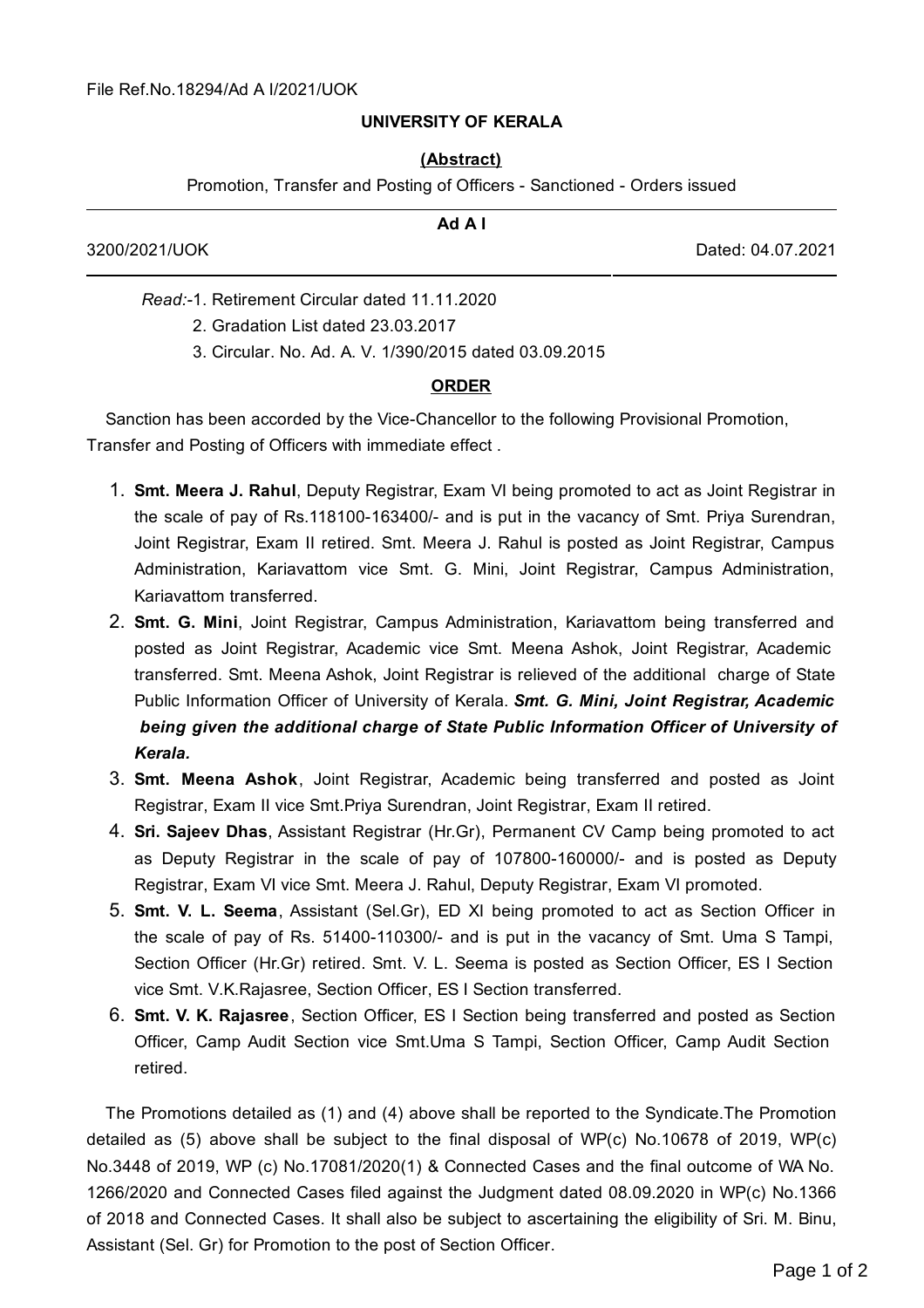## **UNIVERSITY OF KERALA**

## **(Abstract)**

Promotion, Transfer and Posting of Officers - Sanctioned - Orders issued

| Ad A I                                        |                   |
|-----------------------------------------------|-------------------|
| 3200/2021/UOK                                 | Dated: 04.07.2021 |
| Read:-1, Retirement Circular dated 11.11.2020 |                   |
| 2. Gradation List dated 23.03.2017            |                   |

3. Circular. No. Ad. A. V. 1/390/2015 dated 03.09.2015

## **ORDER**

Sanction has been accorded by the Vice-Chancellor to the following Provisional Promotion, Transfer and Posting of Officers with immediate effect .

- 1. **Smt. Meera J. Rahul**, Deputy Registrar, Exam VI being promoted to act as Joint Registrar in the scale of pay of Rs.118100-163400/- and is put in the vacancy of Smt. Priya Surendran, Joint Registrar, Exam II retired. Smt. Meera J. Rahul is posted as Joint Registrar, Campus Administration, Kariavattom vice Smt. G. Mini, Joint Registrar, Campus Administration, Kariavattom transferred.
- 2. **Smt. G. Mini**, Joint Registrar, Campus Administration, Kariavattom being transferred and posted as Joint Registrar, Academic vice Smt. Meena Ashok, Joint Registrar, Academic transferred. Smt. Meena Ashok, Joint Registrar is relieved of the additional charge of State Public Information Officer of University of Kerala. *Smt. G. Mini, Joint Registrar, Academic being given the additional charge of State Public Information Officer of University of Kerala.*
- 3. **Smt. Meena Ashok**, Joint Registrar, Academic being transferred and posted as Joint Registrar, Exam II vice Smt.Priya Surendran, Joint Registrar, Exam II retired.
- 4. **Sri. Sajeev Dhas**, Assistant Registrar (Hr.Gr), Permanent CV Camp being promoted to act as Deputy Registrar in the scale of pay of 107800-160000/- and is posted as Deputy Registrar, Exam VI vice Smt. Meera J. Rahul, Deputy Registrar, Exam VI promoted.
- 5. **Smt. V. L. Seema**, Assistant (Sel.Gr), ED XI being promoted to act as Section Officer in the scale of pay of Rs. 51400-110300/- and is put in the vacancy of Smt. Uma S Tampi, Section Officer (Hr.Gr) retired. Smt. V. L. Seema is posted as Section Officer, ES I Section vice Smt. V.K.Rajasree, Section Officer, ES I Section transferred.
- 6. **Smt. V. K. Rajasree**, Section Officer, ES I Section being transferred and posted as Section Officer, Camp Audit Section vice Smt.Uma S Tampi, Section Officer, Camp Audit Section retired.

The Promotions detailed as (1) and (4) above shall be reported to the Syndicate.The Promotion detailed as (5) above shall be subject to the final disposal of WP(c) No.10678 of 2019, WP(c) No.3448 of 2019, WP (c) No.17081/2020(1) & Connected Cases and the final outcome of WA No. 1266/2020 and Connected Cases filed against the Judgment dated 08.09.2020 in WP(c) No.1366 of 2018 and Connected Cases. It shall also be subject to ascertaining the eligibility of Sri. M. Binu, Assistant (Sel. Gr) for Promotion to the post of Section Officer.